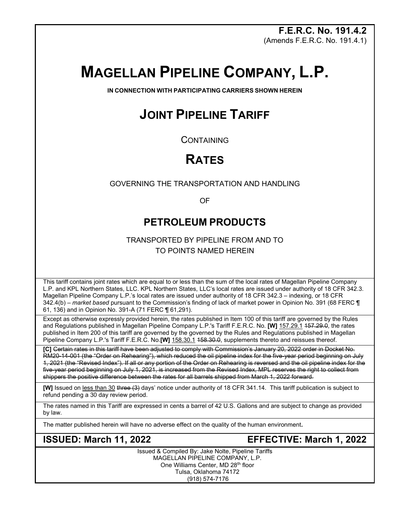**F.E.R.C. No. 191.4.2** (Amends F.E.R.C. No. 191.4.1)

# **MAGELLAN PIPELINE COMPANY, L.P.**

**IN CONNECTION WITH PARTICIPATING CARRIERS SHOWN HEREIN**

# **JOINT PIPELINE TARIFF**

**CONTAINING** 

## **RATES**

GOVERNING THE TRANSPORTATION AND HANDLING

OF

## **PETROLEUM PRODUCTS**

TRANSPORTED BY PIPELINE FROM AND TO TO POINTS NAMED HEREIN

This tariff contains joint rates which are equal to or less than the sum of the local rates of Magellan Pipeline Company L.P. and KPL Northern States, LLC. KPL Northern States, LLC's local rates are issued under authority of 18 CFR 342.3. Magellan Pipeline Company L.P.'s local rates are issued under authority of 18 CFR 342.3 – indexing, or 18 CFR 342.4(b) – *market based* pursuant to the Commission's finding of lack of market power in Opinion No. 391 (68 FERC ¶ 61, 136) and in Opinion No. 391-A (71 FERC ¶ 61,291).

Except as otherwise expressly provided herein, the rates published in Item 100 of this tariff are governed by the Rules and Regulations published in Magellan Pipeline Company L.P.'s Tariff F.E.R.C. No. **[W]** 157.29.1 157.29.0, the rates published in Item 200 of this tariff are governed by the governed by the Rules and Regulations published in Magellan Pipeline Company L.P.'s Tariff F.E.R.C. No.**[W]** 158.30.1 158.30.0, supplements thereto and reissues thereof.

**[C]** Certain rates in this tariff have been adjusted to comply with Commission's January 20, 2022 order in Docket No. RM20-14-001 (the "Order on Rehearing"), which reduced the oil pipeline index for the five-year period beginning on July 1, 2021 (the "Revised Index"). If all or any portion of the Order on Rehearing is reversed and the oil pipeline index for the five-year period beginning on July 1, 2021, is increased from the Revised Index, MPL reserves the right to collect from shippers the positive difference between the rates for all barrels shipped from March 1, 2022 forward.

**[W]** Issued on less than 30 three (3) days' notice under authority of 18 CFR 341.14. This tariff publication is subject to refund pending a 30 day review period.

The rates named in this Tariff are expressed in cents a barrel of 42 U.S. Gallons and are subject to change as provided by law.

The matter published herein will have no adverse effect on the quality of the human environment**.** 

**ISSUED: March 11, 2022 EFFECTIVE: March 1, 2022**

Issued & Compiled By: Jake Nolte, Pipeline Tariffs MAGELLAN PIPELINE COMPANY, L.P. One Williams Center, MD 28th floor Tulsa, Oklahoma 74172 (918) 574-7176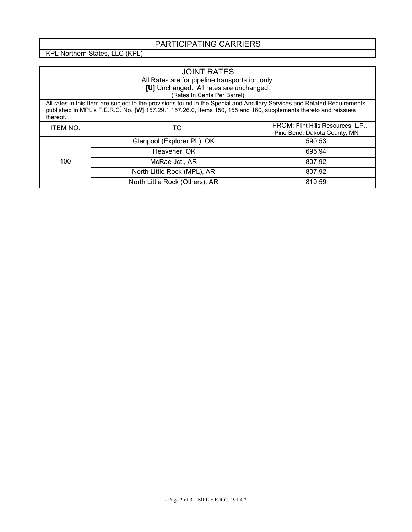## PARTICIPATING CARRIERS

KPL Northern States, LLC (KPL)

| <b>JOINT RATES</b><br>All Rates are for pipeline transportation only.<br>[U] Unchanged. All rates are unchanged.<br>(Rates In Cents Per Barrel)                                                                                                          |                                |                                                                    |  |  |
|----------------------------------------------------------------------------------------------------------------------------------------------------------------------------------------------------------------------------------------------------------|--------------------------------|--------------------------------------------------------------------|--|--|
| All rates in this Item are subject to the provisions found in the Special and Ancillary Services and Related Requirements<br>published in MPL's F.E.R.C. No. [W] 157.29.1 457.26.0, Items 150, 155 and 160, supplements thereto and reissues<br>thereof. |                                |                                                                    |  |  |
| <b>ITEM NO.</b>                                                                                                                                                                                                                                          | TO                             | FROM: Flint Hills Resources, L.P.,<br>Pine Bend, Dakota County, MN |  |  |
| 100                                                                                                                                                                                                                                                      | Glenpool (Explorer PL), OK     | 590.53                                                             |  |  |
|                                                                                                                                                                                                                                                          | Heavener, OK                   | 695.94                                                             |  |  |
|                                                                                                                                                                                                                                                          | McRae Jct., AR                 | 807.92                                                             |  |  |
|                                                                                                                                                                                                                                                          | North Little Rock (MPL), AR    | 807.92                                                             |  |  |
|                                                                                                                                                                                                                                                          | North Little Rock (Others), AR | 819.59                                                             |  |  |